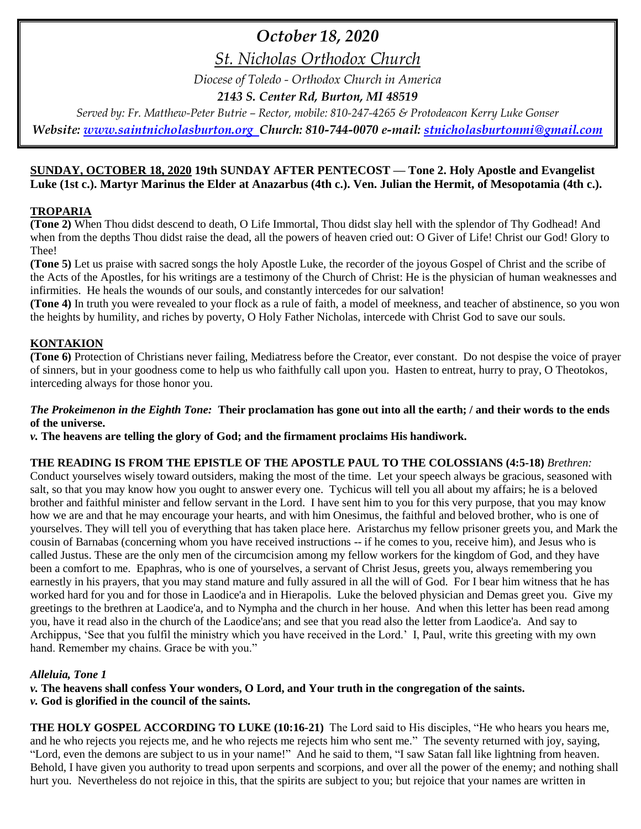## *October 18, 2020*

*St. Nicholas Orthodox Church*

*Diocese of Toledo - Orthodox Church in America*

*2143 S. Center Rd, Burton, MI 48519*

*Served by: Fr. Matthew-Peter Butrie – Rector, mobile: 810-247-4265 & Protodeacon Kerry Luke Gonser*

*Website: [www.saintnicholasburton.org](http://www.saintnicholasburton.org/) Church: 810-744-0070 e-mail: [stnicholasburtonmi@gmail.com](mailto:stnicholasburtonmi@gmail.com)*

#### **SUNDAY, OCTOBER 18, 2020 19th SUNDAY AFTER PENTECOST — Tone 2. Holy Apostle and Evangelist Luke (1st c.). Martyr Marinus the Elder at Anazarbus (4th c.). Ven. Julian the Hermit, of Mesopotamia (4th c.).**

#### **TROPARIA**

**(Tone 2)** When Thou didst descend to death, O Life Immortal, Thou didst slay hell with the splendor of Thy Godhead! And when from the depths Thou didst raise the dead, all the powers of heaven cried out: O Giver of Life! Christ our God! Glory to Thee!

**(Tone 5)** Let us praise with sacred songs the holy Apostle Luke, the recorder of the joyous Gospel of Christ and the scribe of the Acts of the Apostles, for his writings are a testimony of the Church of Christ: He is the physician of human weaknesses and infirmities. He heals the wounds of our souls, and constantly intercedes for our salvation!

**(Tone 4)** In truth you were revealed to your flock as a rule of faith, a model of meekness, and teacher of abstinence, so you won the heights by humility, and riches by poverty, O Holy Father Nicholas, intercede with Christ God to save our souls.

#### **KONTAKION**

**(Tone 6)** Protection of Christians never failing, Mediatress before the Creator, ever constant. Do not despise the voice of prayer of sinners, but in your goodness come to help us who faithfully call upon you. Hasten to entreat, hurry to pray, O Theotokos, interceding always for those honor you.

#### *The Prokeimenon in the Eighth Tone:* **Their proclamation has gone out into all the earth; / and their words to the ends of the universe.**

*v.* **The heavens are telling the glory of God; and the firmament proclaims His handiwork.**

#### **THE READING IS FROM THE EPISTLE OF THE APOSTLE PAUL TO THE COLOSSIANS (4:5-18)** *Brethren:*

Conduct yourselves wisely toward outsiders, making the most of the time. Let your speech always be gracious, seasoned with salt, so that you may know how you ought to answer every one. Tychicus will tell you all about my affairs; he is a beloved brother and faithful minister and fellow servant in the Lord. I have sent him to you for this very purpose, that you may know how we are and that he may encourage your hearts, and with him Onesimus, the faithful and beloved brother, who is one of yourselves. They will tell you of everything that has taken place here. Aristarchus my fellow prisoner greets you, and Mark the cousin of Barnabas (concerning whom you have received instructions -- if he comes to you, receive him), and Jesus who is called Justus. These are the only men of the circumcision among my fellow workers for the kingdom of God, and they have been a comfort to me. Epaphras, who is one of yourselves, a servant of Christ Jesus, greets you, always remembering you earnestly in his prayers, that you may stand mature and fully assured in all the will of God. For I bear him witness that he has worked hard for you and for those in Laodice'a and in Hierapolis. Luke the beloved physician and Demas greet you. Give my greetings to the brethren at Laodice'a, and to Nympha and the church in her house. And when this letter has been read among you, have it read also in the church of the Laodice'ans; and see that you read also the letter from Laodice'a. And say to Archippus, 'See that you fulfil the ministry which you have received in the Lord.' I, Paul, write this greeting with my own hand. Remember my chains. Grace be with you."

#### *Alleluia, Tone 1*

*v.* **The heavens shall confess Your wonders, O Lord, and Your truth in the congregation of the saints.**

*v.* **God is glorified in the council of the saints.**

**THE HOLY GOSPEL ACCORDING TO LUKE (10:16-21)** The Lord said to His disciples, "He who hears you hears me, and he who rejects you rejects me, and he who rejects me rejects him who sent me." The seventy returned with joy, saying, "Lord, even the demons are subject to us in your name!" And he said to them, "I saw Satan fall like lightning from heaven. Behold, I have given you authority to tread upon serpents and scorpions, and over all the power of the enemy; and nothing shall hurt you. Nevertheless do not rejoice in this, that the spirits are subject to you; but rejoice that your names are written in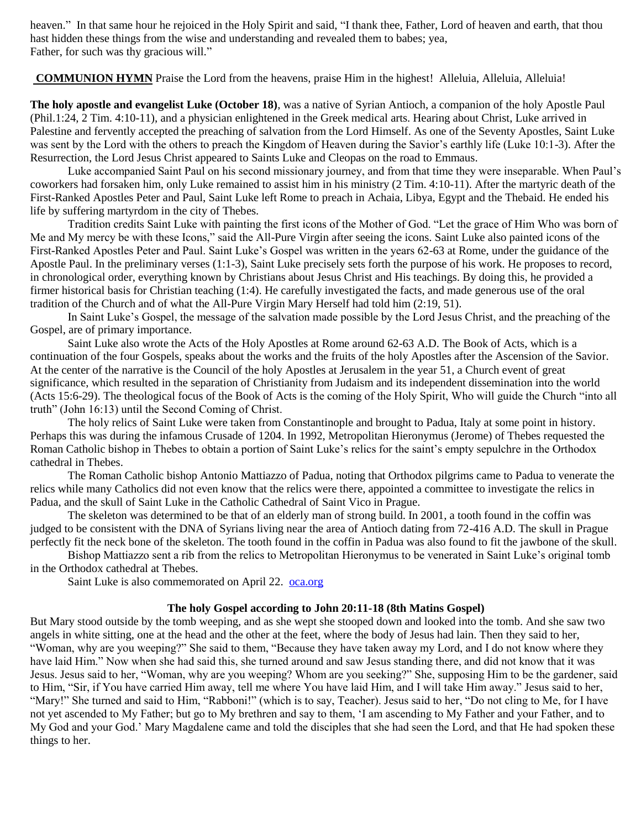heaven." In that same hour he rejoiced in the Holy Spirit and said, "I thank thee, Father, Lord of heaven and earth, that thou hast hidden these things from the wise and understanding and revealed them to babes; yea, Father, for such was thy gracious will."

**COMMUNION HYMN** Praise the Lord from the heavens, praise Him in the highest! Alleluia, Alleluia, Alleluia!

**The holy apostle and evangelist Luke (October 18)**, was a native of Syrian Antioch, a companion of the holy Apostle Paul (Phil.1:24, 2 Tim. 4:10-11), and a physician enlightened in the Greek medical arts. Hearing about Christ, Luke arrived in Palestine and fervently accepted the preaching of salvation from the Lord Himself. As one of the Seventy Apostles, Saint Luke was sent by the Lord with the others to preach the Kingdom of Heaven during the Savior's earthly life (Luke 10:1-3). After the Resurrection, the Lord Jesus Christ appeared to Saints Luke and Cleopas on the road to Emmaus.

Luke accompanied Saint Paul on his second missionary journey, and from that time they were inseparable. When Paul's coworkers had forsaken him, only Luke remained to assist him in his ministry (2 Tim. 4:10-11). After the martyric death of the First-Ranked Apostles Peter and Paul, Saint Luke left Rome to preach in Achaia, Libya, Egypt and the Thebaid. He ended his life by suffering martyrdom in the city of Thebes.

Tradition credits Saint Luke with painting the first icons of the Mother of God. "Let the grace of Him Who was born of Me and My mercy be with these Icons," said the All-Pure Virgin after seeing the icons. Saint Luke also painted icons of the First-Ranked Apostles Peter and Paul. Saint Luke's Gospel was written in the years 62-63 at Rome, under the guidance of the Apostle Paul. In the preliminary verses (1:1-3), Saint Luke precisely sets forth the purpose of his work. He proposes to record, in chronological order, everything known by Christians about Jesus Christ and His teachings. By doing this, he provided a firmer historical basis for Christian teaching (1:4). He carefully investigated the facts, and made generous use of the oral tradition of the Church and of what the All-Pure Virgin Mary Herself had told him (2:19, 51).

In Saint Luke's Gospel, the message of the salvation made possible by the Lord Jesus Christ, and the preaching of the Gospel, are of primary importance.

Saint Luke also wrote the Acts of the Holy Apostles at Rome around 62-63 A.D. The Book of Acts, which is a continuation of the four Gospels, speaks about the works and the fruits of the holy Apostles after the Ascension of the Savior. At the center of the narrative is the Council of the holy Apostles at Jerusalem in the year 51, a Church event of great significance, which resulted in the separation of Christianity from Judaism and its independent dissemination into the world (Acts 15:6-29). The theological focus of the Book of Acts is the coming of the Holy Spirit, Who will guide the Church "into all truth" (John 16:13) until the Second Coming of Christ.

The holy relics of Saint Luke were taken from Constantinople and brought to Padua, Italy at some point in history. Perhaps this was during the infamous Crusade of 1204. In 1992, Metropolitan Hieronymus (Jerome) of Thebes requested the Roman Catholic bishop in Thebes to obtain a portion of Saint Luke's relics for the saint's empty sepulchre in the Orthodox cathedral in Thebes.

The Roman Catholic bishop Antonio Mattiazzo of Padua, noting that Orthodox pilgrims came to Padua to venerate the relics while many Catholics did not even know that the relics were there, appointed a committee to investigate the relics in Padua, and the skull of Saint Luke in the Catholic Cathedral of Saint Vico in Prague.

The skeleton was determined to be that of an elderly man of strong build. In 2001, a tooth found in the coffin was judged to be consistent with the DNA of Syrians living near the area of Antioch dating from 72-416 A.D. The skull in Prague perfectly fit the neck bone of the skeleton. The tooth found in the coffin in Padua was also found to fit the jawbone of the skull.

Bishop Mattiazzo sent a rib from the relics to Metropolitan Hieronymus to be venerated in Saint Luke's original tomb in the Orthodox cathedral at Thebes.

Saint Luke is also commemorated on April 22. [oca.org](https://www.oca.org/saints/lives/2020/10/18/102993-apostle-and-evangelist-luke)

#### **The holy Gospel according to John 20:11-18 (8th Matins Gospel)**

But Mary stood outside by the tomb weeping, and as she wept she stooped down and looked into the tomb. And she saw two angels in white sitting, one at the head and the other at the feet, where the body of Jesus had lain. Then they said to her, "Woman, why are you weeping?" She said to them, "Because they have taken away my Lord, and I do not know where they have laid Him." Now when she had said this, she turned around and saw Jesus standing there, and did not know that it was Jesus. Jesus said to her, "Woman, why are you weeping? Whom are you seeking?" She, supposing Him to be the gardener, said to Him, "Sir, if You have carried Him away, tell me where You have laid Him, and I will take Him away." Jesus said to her, "Mary!" She turned and said to Him, "Rabboni!" (which is to say, Teacher). Jesus said to her, "Do not cling to Me, for I have not yet ascended to My Father; but go to My brethren and say to them, 'I am ascending to My Father and your Father, and to My God and your God.' Mary Magdalene came and told the disciples that she had seen the Lord, and that He had spoken these things to her.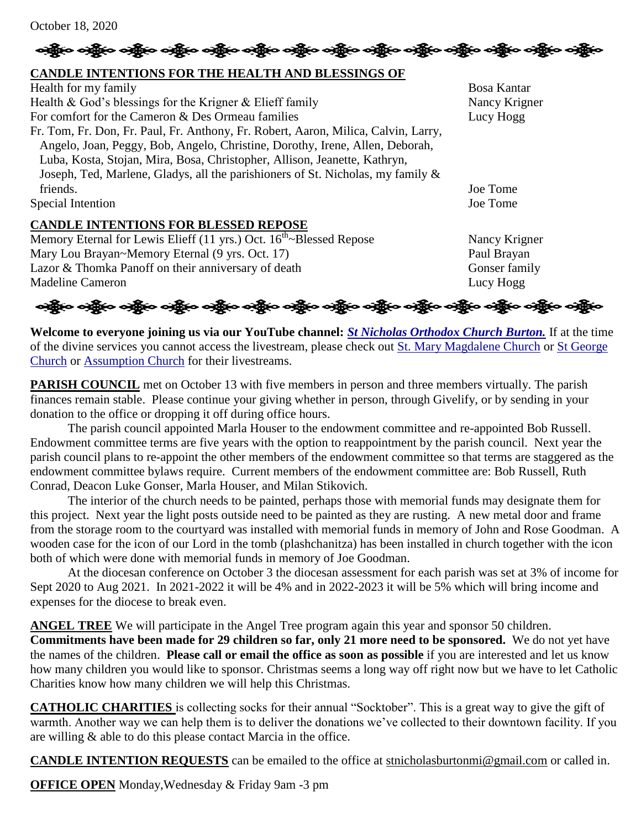### ခရွို့က ခရွိက ခရွိက သို့သော သို့သော သို့သူ ခရွိက ခရွိက ခရွိက သို့သူ သို့သူ သည်။ သန္တိက ခရွိက သန္တိက

#### **CANDLE INTENTIONS FOR THE HEALTH AND BLESSINGS OF**

| Health for my family                                                               | Bosa Kantar   |
|------------------------------------------------------------------------------------|---------------|
| Health & God's blessings for the Krigner $&$ Elieff family                         | Nancy Krigner |
| For comfort for the Cameron & Des Ormeau families                                  | Lucy Hogg     |
| Fr. Tom, Fr. Don, Fr. Paul, Fr. Anthony, Fr. Robert, Aaron, Milica, Calvin, Larry, |               |
| Angelo, Joan, Peggy, Bob, Angelo, Christine, Dorothy, Irene, Allen, Deborah,       |               |
| Luba, Kosta, Stojan, Mira, Bosa, Christopher, Allison, Jeanette, Kathryn,          |               |
| Joseph, Ted, Marlene, Gladys, all the parishioners of St. Nicholas, my family &    |               |
| friends.                                                                           | Joe Tome      |
| Special Intention                                                                  | Joe Tome      |
| <b>CANDLE INTENTIONS FOR BLESSED REPOSE</b>                                        |               |

Memory Eternal for Lewis Elieff (11 yrs.) Oct.  $16<sup>th</sup>$ -Blessed Repose Nancy Krigner Mary Lou Brayan~Memory Eternal (9 yrs. Oct. 17) Paul Brayan Lazor & Thomka Panoff on their anniversary of death Gonser family Madeline Cameron Lucy Hogg

ခရွိက ခရွိက ခရွိက ခရွိက အိုင်း အိုင်း ခရွိက ခရွိက ခရွိက ခရွိက ခရွိက ခရွိက ခရွိက ခရွိက ခရွိက ခရွိက

**Welcome to everyone joining us via our YouTube channel:** *[St Nicholas Orthodox Church Burton.](https://www.youtube.com/channel/UC59tV-Re443z-GCoETAUvfA)* If at the time of the divine services you cannot access the livestream, please check out [St. Mary Magdalene Church](https://www.youtube.com/channel/UClHAqZrWkXdYELujbbIslHg) or St George [Church](https://www.youtube.com/channel/UCpLWfxMIJK4uQOV41ekE6Wg/videos?view=2&flow=grid) or [Assumption Church](https://www.facebook.com/AssumptionGrandBlanc/) for their livestreams.

**PARISH COUNCIL** met on October 13 with five members in person and three members virtually. The parish finances remain stable. Please continue your giving whether in person, through Givelify, or by sending in your donation to the office or dropping it off during office hours.

The parish council appointed Marla Houser to the endowment committee and re-appointed Bob Russell. Endowment committee terms are five years with the option to reappointment by the parish council. Next year the parish council plans to re-appoint the other members of the endowment committee so that terms are staggered as the endowment committee bylaws require. Current members of the endowment committee are: Bob Russell, Ruth Conrad, Deacon Luke Gonser, Marla Houser, and Milan Stikovich.

The interior of the church needs to be painted, perhaps those with memorial funds may designate them for this project. Next year the light posts outside need to be painted as they are rusting. A new metal door and frame from the storage room to the courtyard was installed with memorial funds in memory of John and Rose Goodman. A wooden case for the icon of our Lord in the tomb (plashchanitza) has been installed in church together with the icon both of which were done with memorial funds in memory of Joe Goodman.

At the diocesan conference on October 3 the diocesan assessment for each parish was set at 3% of income for Sept 2020 to Aug 2021. In 2021-2022 it will be 4% and in 2022-2023 it will be 5% which will bring income and expenses for the diocese to break even.

**ANGEL TREE** We will participate in the Angel Tree program again this year and sponsor 50 children.

**Commitments have been made for 29 children so far, only 21 more need to be sponsored.** We do not yet have the names of the children. **Please call or email the office as soon as possible** if you are interested and let us know how many children you would like to sponsor. Christmas seems a long way off right now but we have to let Catholic Charities know how many children we will help this Christmas.

**CATHOLIC CHARITIES** is collecting socks for their annual "Socktober". This is a great way to give the gift of warmth. Another way we can help them is to deliver the donations we've collected to their downtown facility. If you are willing & able to do this please contact Marcia in the office.

**CANDLE INTENTION REQUESTS** can be emailed to the office at [stnicholasburtonmi@gmail.com](mailto:stnicholasburtonmi@gmail.com) or called in.

**OFFICE OPEN** Monday,Wednesday & Friday 9am -3 pm